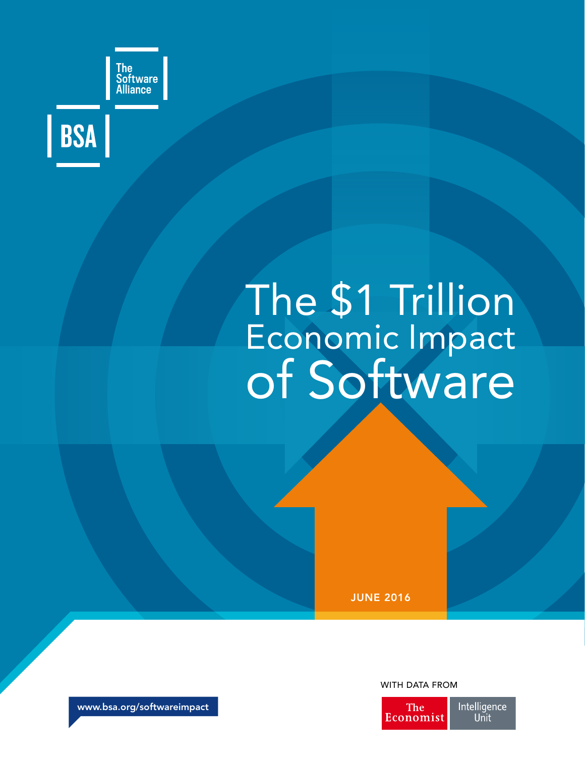



# The \$1 Trillion Economic Impact of Software

JUNE 2016



WITH DATA FROM

www.bsa.org/softwareimpact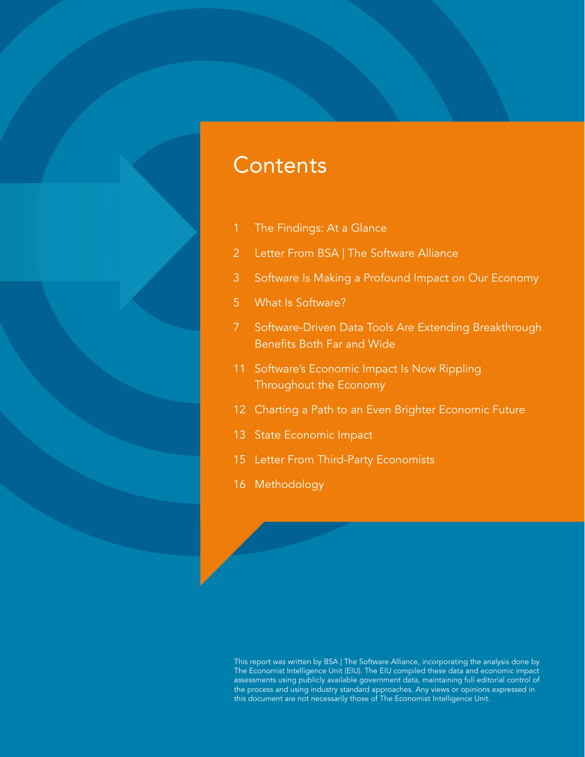### **Contents**

- 1 [The Findings: At a Glance](#page-2-0)
- 2 [Letter From BSA | The Software Alliance](#page-3-0)
- 3 [Software Is Making a Profound Impact on Our Economy](#page-4-0)
- 5 [What Is Software?](#page-6-0)
- 7 [Software-Driven Data Tools Are Extending Breakthrough](#page-8-0)  [Benefits Both Far and Wide](#page-8-0)
- 11 [Software's Economic Impact Is Now Rippling](#page-12-0)  [Throughout the Economy](#page-12-0)
- 12 [Charting a Path to an Even Brighter Economic Future](#page-13-0)
- 13 [State Economic Impact](#page-14-0)
- 15 [Letter From Third-Party Economists](#page-16-0)
- 16 [Methodology](#page-17-0)

This report was written by BSA | The Software Alliance, incorporating the analysis done by The Economist Intelligence Unit (EIU). The EIU compiled these data and economic impact assessments using publicly available government data, maintaining full editorial control of the process and using industry standard approaches. Any views or opinions expressed in this document are not necessarily those of The Economist Intelligence Unit.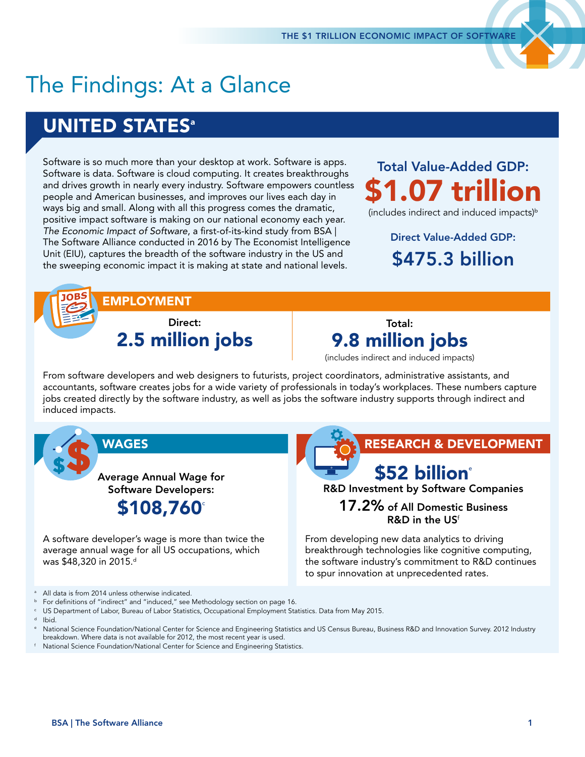## <span id="page-2-0"></span>The Findings: At a Glance

### **UNITED STATES<sup>®</sup>**

Software is so much more than your desktop at work. Software is apps. Software is data. Software is cloud computing. It creates breakthroughs and drives growth in nearly every industry. Software empowers countless people and American businesses, and improves our lives each day in ways big and small. Along with all this progress comes the dramatic, positive impact software is making on our national economy each year. *The Economic Impact of Software*, a first-of-its-kind study from BSA | The Software Alliance conducted in 2016 by The Economist Intelligence Unit (EIU), captures the breadth of the software industry in the US and the sweeping economic impact it is making at state and national levels.

Total Value-Added GDP: 7 trill

(includes indirect and induced impacts)<sup>b</sup>

Direct Value-Added GDP: \$475.3 billion



EMPLOYMENT

Direct: 2.5 million jobs

Total: 9.8 million jobs

(includes indirect and induced impacts)

From software developers and web designers to futurists, project coordinators, administrative assistants, and accountants, software creates jobs for a wide variety of professionals in today's workplaces. These numbers capture jobs created directly by the software industry, as well as jobs the software industry supports through indirect and induced impacts.

Average Annual Wage for Software Developers:



A software developer's wage is more than twice the average annual wage for all US occupations, which was \$48,320 in 2015.<sup>d</sup>

#### WAGES **RESEARCH & DEVELOPMENT**

### \$52 billion<sup>®</sup>

R&D Investment by Software Companies

17.2% of All Domestic Business R&D in the US<sup>f</sup>

From developing new data analytics to driving breakthrough technologies like cognitive computing, the software industry's commitment to R&D continues to spur innovation at unprecedented rates.

- 
- <sup>a</sup> All data is from 2014 unless otherwise indicated.<br><sup>b</sup> For definitions of "indirect" and "induced," see Methodology section on page 16.
- US Department of Labor, Bureau of Labor Statistics, Occupational Employment Statistics. Data from May 2015. <sup>d</sup> Ibid.
- National Science Foundation/National Center for Science and Engineering Statistics and US Census Bureau, Business R&D and Innovation Survey. 2012 Industry breakdown. Where data is not available for 2012, the most recent year is used.
- National Science Foundation/National Center for Science and Engineering Statistics.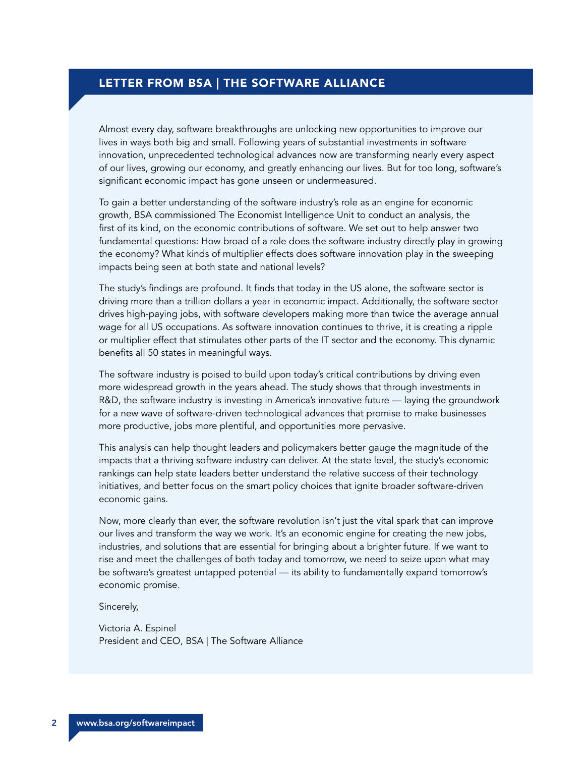#### <span id="page-3-0"></span>LETTER FROM BSA | THE SOFTWARE ALLIANCE

Almost every day, software breakthroughs are unlocking new opportunities to improve our lives in ways both big and small. Following years of substantial investments in software innovation, unprecedented technological advances now are transforming nearly every aspect of our lives, growing our economy, and greatly enhancing our lives. But for too long, software's significant economic impact has gone unseen or undermeasured.

To gain a better understanding of the software industry's role as an engine for economic growth, BSA commissioned The Economist Intelligence Unit to conduct an analysis, the first of its kind, on the economic contributions of software. We set out to help answer two fundamental questions: How broad of a role does the software industry directly play in growing the economy? What kinds of multiplier effects does software innovation play in the sweeping impacts being seen at both state and national levels?

The study's findings are profound. It finds that today in the US alone, the software sector is driving more than a trillion dollars a year in economic impact. Additionally, the software sector drives high-paying jobs, with software developers making more than twice the average annual wage for all US occupations. As software innovation continues to thrive, it is creating a ripple or multiplier effect that stimulates other parts of the IT sector and the economy. This dynamic benefits all 50 states in meaningful ways.

The software industry is poised to build upon today's critical contributions by driving even more widespread growth in the years ahead. The study shows that through investments in R&D, the software industry is investing in America's innovative future — laying the groundwork for a new wave of software-driven technological advances that promise to make businesses more productive, jobs more plentiful, and opportunities more pervasive.

This analysis can help thought leaders and policymakers better gauge the magnitude of the impacts that a thriving software industry can deliver. At the state level, the study's economic rankings can help state leaders better understand the relative success of their technology initiatives, and better focus on the smart policy choices that ignite broader software-driven economic gains.

Now, more clearly than ever, the software revolution isn't just the vital spark that can improve our lives and transform the way we work. It's an economic engine for creating the new jobs, industries, and solutions that are essential for bringing about a brighter future. If we want to rise and meet the challenges of both today and tomorrow, we need to seize upon what may be software's greatest untapped potential — its ability to fundamentally expand tomorrow's economic promise.

Sincerely,

Victoria A. Espinel President and CEO, BSA | The Software Alliance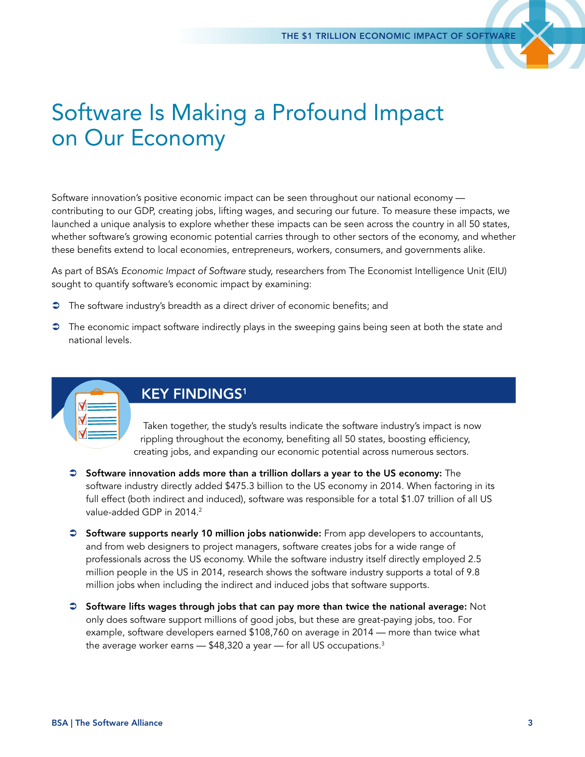### <span id="page-4-0"></span>Software Is Making a Profound Impact on Our Economy

Software innovation's positive economic impact can be seen throughout our national economy contributing to our GDP, creating jobs, lifting wages, and securing our future. To measure these impacts, we launched a unique analysis to explore whether these impacts can be seen across the country in all 50 states, whether software's growing economic potential carries through to other sectors of the economy, and whether these benefits extend to local economies, entrepreneurs, workers, consumers, and governments alike.

As part of BSA's *Economic Impact of Software* study, researchers from The Economist Intelligence Unit (EIU) sought to quantify software's economic impact by examining:

- The software industry's breadth as a direct driver of economic benefits; and
- $\supset$  The economic impact software indirectly plays in the sweeping gains being seen at both the state and national levels.



### **KEY FINDINGS<sup>1</sup>**

Taken together, the study's results indicate the software industry's impact is now rippling throughout the economy, benefiting all 50 states, boosting efficiency, creating jobs, and expanding our economic potential across numerous sectors.

- $\bullet$  Software innovation adds more than a trillion dollars a year to the US economy: The software industry directly added \$475.3 billion to the US economy in 2014. When factoring in its full effect (both indirect and induced), software was responsible for a total \$1.07 trillion of all US value-added GDP in 2014.<sup>2</sup>
- $\bullet$  Software supports nearly 10 million jobs nationwide: From app developers to accountants, and from web designers to project managers, software creates jobs for a wide range of professionals across the US economy. While the software industry itself directly employed 2.5 million people in the US in 2014, research shows the software industry supports a total of 9.8 million jobs when including the indirect and induced jobs that software supports.
- $\bullet$  Software lifts wages through jobs that can pay more than twice the national average: Not only does software support millions of good jobs, but these are great-paying jobs, too. For example, software developers earned \$108,760 on average in 2014 — more than twice what the average worker earns  $-$  \$48,320 a year  $-$  for all US occupations.<sup>3</sup>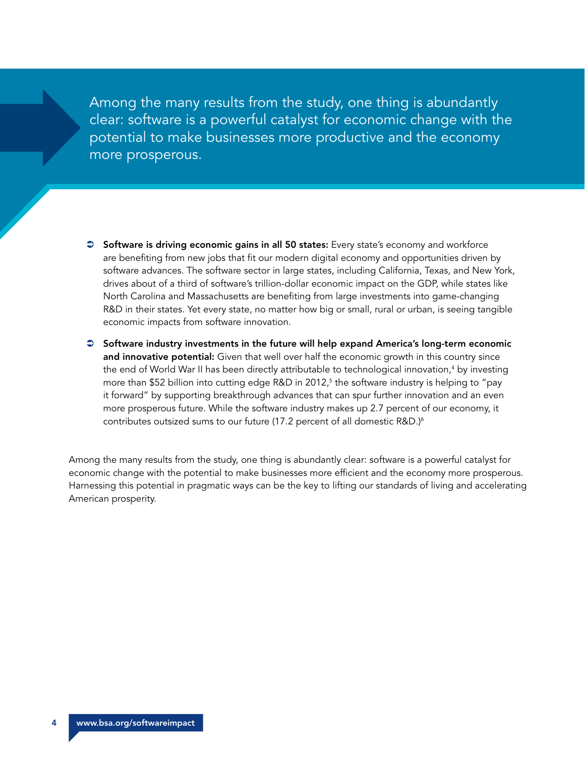Among the many results from the study, one thing is abundantly clear: software is a powerful catalyst for economic change with the potential to make businesses more productive and the economy more prosperous.

- Software is driving economic gains in all 50 states: Every state's economy and workforce are benefiting from new jobs that fit our modern digital economy and opportunities driven by software advances. The software sector in large states, including California, Texas, and New York, drives about of a third of software's trillion-dollar economic impact on the GDP, while states like North Carolina and Massachusetts are benefiting from large investments into game-changing R&D in their states. Yet every state, no matter how big or small, rural or urban, is seeing tangible economic impacts from software innovation.
- $\bullet$  Software industry investments in the future will help expand America's long-term economic and innovative potential: Given that well over half the economic growth in this country since the end of World War II has been directly attributable to technological innovation,<sup>4</sup> by investing more than \$52 billion into cutting edge R&D in 2012,<sup>5</sup> the software industry is helping to "pay it forward" by supporting breakthrough advances that can spur further innovation and an even more prosperous future. While the software industry makes up 2.7 percent of our economy, it contributes outsized sums to our future (17.2 percent of all domestic R&D.)<sup>6</sup>

Among the many results from the study, one thing is abundantly clear: software is a powerful catalyst for economic change with the potential to make businesses more efficient and the economy more prosperous. Harnessing this potential in pragmatic ways can be the key to lifting our standards of living and accelerating American prosperity.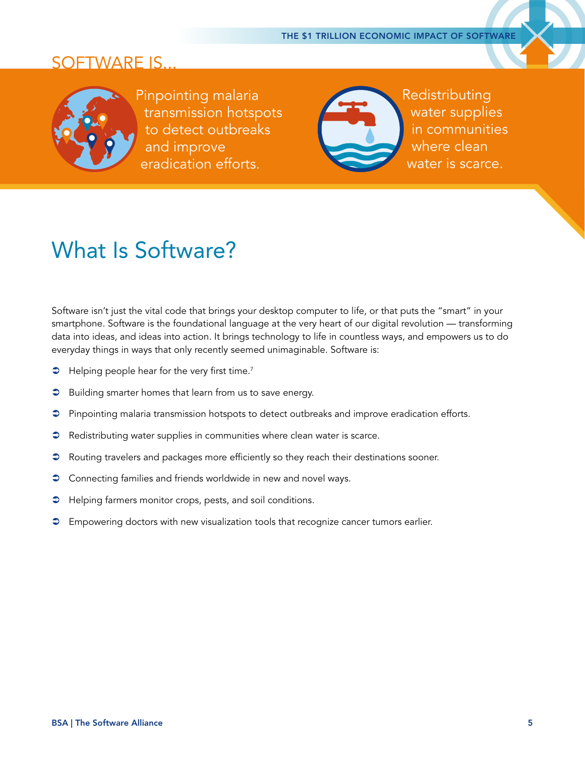### <span id="page-6-0"></span>SOFTWARE IS.



Pinpointing malaria transmission hotspots to detect outbreaks and improve eradication efforts.



Redistributing water supplies in communities where clean water is scarce.

## What Is Software?

Software isn't just the vital code that brings your desktop computer to life, or that puts the "smart" in your smartphone. Software is the foundational language at the very heart of our digital revolution — transforming data into ideas, and ideas into action. It brings technology to life in countless ways, and empowers us to do everyday things in ways that only recently seemed unimaginable. Software is:

- $\blacktriangleright$  Helping people hear for the very first time.<sup>7</sup>
- $\supset$  Building smarter homes that learn from us to save energy.
- $\supset$  Pinpointing malaria transmission hotspots to detect outbreaks and improve eradication efforts.
- $\supset$  Redistributing water supplies in communities where clean water is scarce.
- **Routing travelers and packages more efficiently so they reach their destinations sooner.**
- **Connecting families and friends worldwide in new and novel ways.**
- **C** Helping farmers monitor crops, pests, and soil conditions.
- $\supset$  Empowering doctors with new visualization tools that recognize cancer tumors earlier.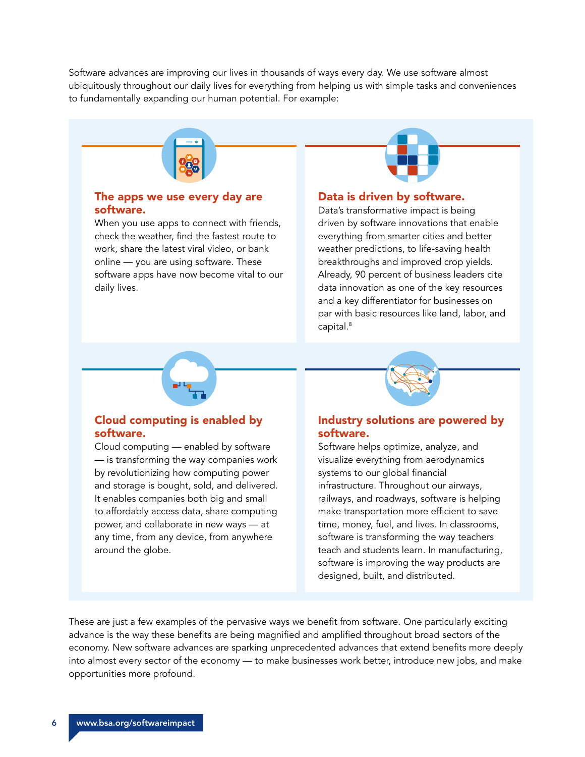Software advances are improving our lives in thousands of ways every day. We use software almost ubiquitously throughout our daily lives for everything from helping us with simple tasks and conveniences to fundamentally expanding our human potential. For example:

### Data's transformative impact is being The apps we use every day are software. When you use apps to connect with friends, check the weather, find the fastest route to work, share the latest viral video, or bank online — you are using software. These software apps have now become vital to our

#### Data is driven by software.

driven by software innovations that enable everything from smarter cities and better weather predictions, to life-saving health breakthroughs and improved crop yields. Already, 90 percent of business leaders cite data innovation as one of the key resources and a key differentiator for businesses on par with basic resources like land, labor, and capital.<sup>8</sup>

#### Cloud computing is enabled by software.

daily lives.

Cloud computing — enabled by software — is transforming the way companies work by revolutionizing how computing power and storage is bought, sold, and delivered. It enables companies both big and small to affordably access data, share computing power, and collaborate in new ways — at any time, from any device, from anywhere around the globe.

#### Industry solutions are powered by software.

Software helps optimize, analyze, and visualize everything from aerodynamics systems to our global financial infrastructure. Throughout our airways, railways, and roadways, software is helping make transportation more efficient to save time, money, fuel, and lives. In classrooms, software is transforming the way teachers teach and students learn. In manufacturing, software is improving the way products are designed, built, and distributed.

These are just a few examples of the pervasive ways we benefit from software. One particularly exciting advance is the way these benefits are being magnified and amplified throughout broad sectors of the economy. New software advances are sparking unprecedented advances that extend benefits more deeply into almost every sector of the economy — to make businesses work better, introduce new jobs, and make opportunities more profound.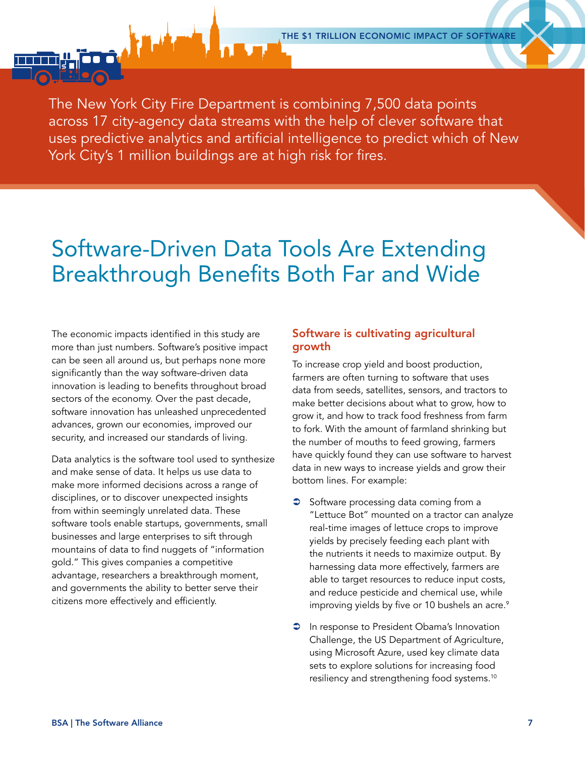<span id="page-8-0"></span>The New York City Fire Department is combining 7,500 data points across 17 city-agency data streams with the help of clever software that uses predictive analytics and artificial intelligence to predict which of New York City's 1 million buildings are at high risk for fires.

### Software-Driven Data Tools Are Extending Breakthrough Benefits Both Far and Wide

The economic impacts identified in this study are more than just numbers. Software's positive impact can be seen all around us, but perhaps none more significantly than the way software-driven data innovation is leading to benefits throughout broad sectors of the economy. Over the past decade, software innovation has unleashed unprecedented advances, grown our economies, improved our security, and increased our standards of living.

Data analytics is the software tool used to synthesize and make sense of data. It helps us use data to make more informed decisions across a range of disciplines, or to discover unexpected insights from within seemingly unrelated data. These software tools enable startups, governments, small businesses and large enterprises to sift through mountains of data to find nuggets of "information gold." This gives companies a competitive advantage, researchers a breakthrough moment, and governments the ability to better serve their citizens more effectively and efficiently.

#### Software is cultivating agricultural growth

To increase crop yield and boost production, farmers are often turning to software that uses data from seeds, satellites, sensors, and tractors to make better decisions about what to grow, how to grow it, and how to track food freshness from farm to fork. With the amount of farmland shrinking but the number of mouths to feed growing, farmers have quickly found they can use software to harvest data in new ways to increase yields and grow their bottom lines. For example:

- $\supset$  Software processing data coming from a "Lettuce Bot" mounted on a tractor can analyze real-time images of lettuce crops to improve yields by precisely feeding each plant with the nutrients it needs to maximize output. By harnessing data more effectively, farmers are able to target resources to reduce input costs, and reduce pesticide and chemical use, while improving yields by five or 10 bushels an acre.<sup>9</sup>
- <sup>•</sup> In response to President Obama's Innovation Challenge, the US Department of Agriculture, using Microsoft Azure, used key climate data sets to explore solutions for increasing food resiliency and strengthening food systems.10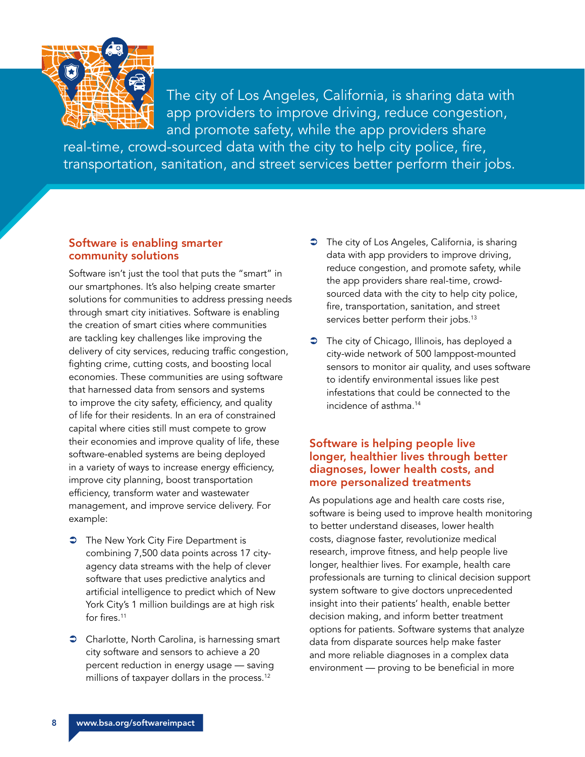

The city of Los Angeles, California, is sharing data with app providers to improve driving, reduce congestion, and promote safety, while the app providers share

real-time, crowd-sourced data with the city to help city police, fire, transportation, sanitation, and street services better perform their jobs.

#### Software is enabling smarter community solutions

Software isn't just the tool that puts the "smart" in our smartphones. It's also helping create smarter solutions for communities to address pressing needs through smart city initiatives. Software is enabling the creation of smart cities where communities are tackling key challenges like improving the delivery of city services, reducing traffic congestion, fighting crime, cutting costs, and boosting local economies. These communities are using software that harnessed data from sensors and systems to improve the city safety, efficiency, and quality of life for their residents. In an era of constrained capital where cities still must compete to grow their economies and improve quality of life, these software-enabled systems are being deployed in a variety of ways to increase energy efficiency, improve city planning, boost transportation efficiency, transform water and wastewater management, and improve service delivery. For example:

- $\bullet$  The New York City Fire Department is combining 7,500 data points across 17 cityagency data streams with the help of clever software that uses predictive analytics and artificial intelligence to predict which of New York City's 1 million buildings are at high risk for fires.11
- **●** Charlotte, North Carolina, is harnessing smart city software and sensors to achieve a 20 percent reduction in energy usage — saving millions of taxpayer dollars in the process.<sup>12</sup>
- $\bullet$  The city of Los Angeles, California, is sharing data with app providers to improve driving, reduce congestion, and promote safety, while the app providers share real-time, crowdsourced data with the city to help city police, fire, transportation, sanitation, and street services better perform their jobs.<sup>13</sup>
- **■** The city of Chicago, Illinois, has deployed a city-wide network of 500 lamppost-mounted sensors to monitor air quality, and uses software to identify environmental issues like pest infestations that could be connected to the incidence of asthma.14

#### Software is helping people live longer, healthier lives through better diagnoses, lower health costs, and more personalized treatments

As populations age and health care costs rise, software is being used to improve health monitoring to better understand diseases, lower health costs, diagnose faster, revolutionize medical research, improve fitness, and help people live longer, healthier lives. For example, health care professionals are turning to clinical decision support system software to give doctors unprecedented insight into their patients' health, enable better decision making, and inform better treatment options for patients. Software systems that analyze data from disparate sources help make faster and more reliable diagnoses in a complex data environment — proving to be beneficial in more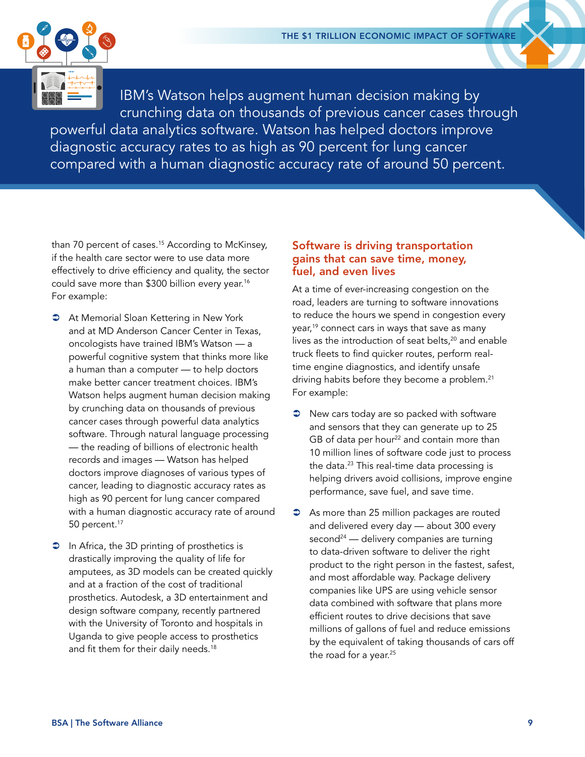

IBM's Watson helps augment human decision making by crunching data on thousands of previous cancer cases through powerful data analytics software. Watson has helped doctors improve diagnostic accuracy rates to as high as 90 percent for lung cancer compared with a human diagnostic accuracy rate of around 50 percent.

than 70 percent of cases.<sup>15</sup> According to McKinsey, if the health care sector were to use data more effectively to drive efficiency and quality, the sector could save more than \$300 billion every year.<sup>16</sup> For example:

- **At Memorial Sloan Kettering in New York** and at MD Anderson Cancer Center in Texas, oncologists have trained IBM's Watson — a powerful cognitive system that thinks more like a human than a computer — to help doctors make better cancer treatment choices. IBM's Watson helps augment human decision making by crunching data on thousands of previous cancer cases through powerful data analytics software. Through natural language processing — the reading of billions of electronic health records and images — Watson has helped doctors improve diagnoses of various types of cancer, leading to diagnostic accuracy rates as high as 90 percent for lung cancer compared with a human diagnostic accuracy rate of around 50 percent.<sup>17</sup>
- $\bullet$  In Africa, the 3D printing of prosthetics is drastically improving the quality of life for amputees, as 3D models can be created quickly and at a fraction of the cost of traditional prosthetics. Autodesk, a 3D entertainment and design software company, recently partnered with the University of Toronto and hospitals in Uganda to give people access to prosthetics and fit them for their daily needs.<sup>18</sup>

#### Software is driving transportation gains that can save time, money, fuel, and even lives

At a time of ever-increasing congestion on the road, leaders are turning to software innovations to reduce the hours we spend in congestion every year,<sup>19</sup> connect cars in ways that save as many lives as the introduction of seat belts, $20$  and enable truck fleets to find quicker routes, perform realtime engine diagnostics, and identify unsafe driving habits before they become a problem.<sup>21</sup> For example:

- $\supset$  New cars today are so packed with software and sensors that they can generate up to 25 GB of data per hour<sup>22</sup> and contain more than 10 million lines of software code just to process the data.<sup>23</sup> This real-time data processing is helping drivers avoid collisions, improve engine performance, save fuel, and save time.
- $\bullet$  As more than 25 million packages are routed and delivered every day — about 300 every  $second<sup>24</sup>$  — delivery companies are turning to data-driven software to deliver the right product to the right person in the fastest, safest, and most affordable way. Package delivery companies like UPS are using vehicle sensor data combined with software that plans more efficient routes to drive decisions that save millions of gallons of fuel and reduce emissions by the equivalent of taking thousands of cars off the road for a year.<sup>25</sup>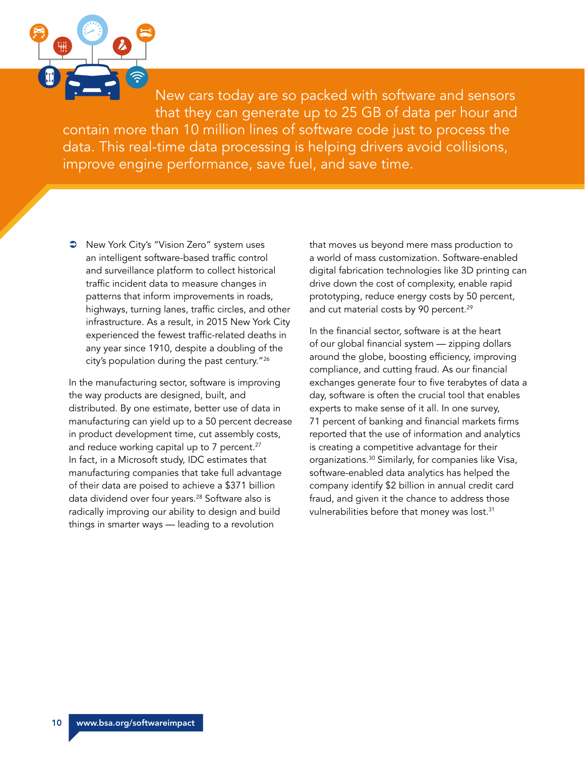

New cars today are so packed with software and sensors that they can generate up to 25 GB of data per hour and contain more than 10 million lines of software code just to process the data. This real-time data processing is helping drivers avoid collisions, improve engine performance, save fuel, and save time.

**C** New York City's "Vision Zero" system uses an intelligent software-based traffic control and surveillance platform to collect historical traffic incident data to measure changes in patterns that inform improvements in roads, highways, turning lanes, traffic circles, and other infrastructure. As a result, in 2015 New York City experienced the fewest traffic-related deaths in any year since 1910, despite a doubling of the city's population during the past century."26

In the manufacturing sector, software is improving the way products are designed, built, and distributed. By one estimate, better use of data in manufacturing can yield up to a 50 percent decrease in product development time, cut assembly costs, and reduce working capital up to 7 percent.<sup>27</sup> In fact, in a Microsoft study, IDC estimates that manufacturing companies that take full advantage of their data are poised to achieve a \$371 billion data dividend over four years.<sup>28</sup> Software also is radically improving our ability to design and build things in smarter ways — leading to a revolution

that moves us beyond mere mass production to a world of mass customization. Software-enabled digital fabrication technologies like 3D printing can drive down the cost of complexity, enable rapid prototyping, reduce energy costs by 50 percent, and cut material costs by 90 percent.<sup>29</sup>

In the financial sector, software is at the heart of our global financial system — zipping dollars around the globe, boosting efficiency, improving compliance, and cutting fraud. As our financial exchanges generate four to five terabytes of data a day, software is often the crucial tool that enables experts to make sense of it all. In one survey, 71 percent of banking and financial markets firms reported that the use of information and analytics is creating a competitive advantage for their organizations.30 Similarly, for companies like Visa, software-enabled data analytics has helped the company identify \$2 billion in annual credit card fraud, and given it the chance to address those vulnerabilities before that money was lost.<sup>31</sup>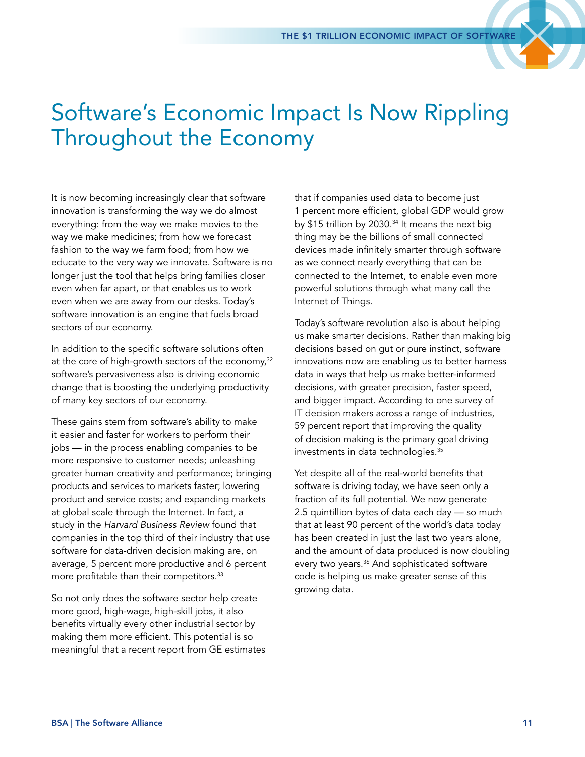### <span id="page-12-0"></span>Software's Economic Impact Is Now Rippling Throughout the Economy

It is now becoming increasingly clear that software innovation is transforming the way we do almost everything: from the way we make movies to the way we make medicines; from how we forecast fashion to the way we farm food; from how we educate to the very way we innovate. Software is no longer just the tool that helps bring families closer even when far apart, or that enables us to work even when we are away from our desks. Today's software innovation is an engine that fuels broad sectors of our economy.

In addition to the specific software solutions often at the core of high-growth sectors of the economy,<sup>32</sup> software's pervasiveness also is driving economic change that is boosting the underlying productivity of many key sectors of our economy.

These gains stem from software's ability to make it easier and faster for workers to perform their jobs — in the process enabling companies to be more responsive to customer needs; unleashing greater human creativity and performance; bringing products and services to markets faster; lowering product and service costs; and expanding markets at global scale through the Internet. In fact, a study in the *Harvard Business Review* found that companies in the top third of their industry that use software for data-driven decision making are, on average, 5 percent more productive and 6 percent more profitable than their competitors.<sup>33</sup>

So not only does the software sector help create more good, high-wage, high-skill jobs, it also benefits virtually every other industrial sector by making them more efficient. This potential is so meaningful that a recent report from GE estimates that if companies used data to become just 1 percent more efficient, global GDP would grow by \$15 trillion by 2030.<sup>34</sup> It means the next big thing may be the billions of small connected devices made infinitely smarter through software as we connect nearly everything that can be connected to the Internet, to enable even more powerful solutions through what many call the Internet of Things.

Today's software revolution also is about helping us make smarter decisions. Rather than making big decisions based on gut or pure instinct, software innovations now are enabling us to better harness data in ways that help us make better-informed decisions, with greater precision, faster speed, and bigger impact. According to one survey of IT decision makers across a range of industries, 59 percent report that improving the quality of decision making is the primary goal driving investments in data technologies.35

Yet despite all of the real-world benefits that software is driving today, we have seen only a fraction of its full potential. We now generate 2.5 quintillion bytes of data each day — so much that at least 90 percent of the world's data today has been created in just the last two years alone, and the amount of data produced is now doubling every two years.<sup>36</sup> And sophisticated software code is helping us make greater sense of this growing data.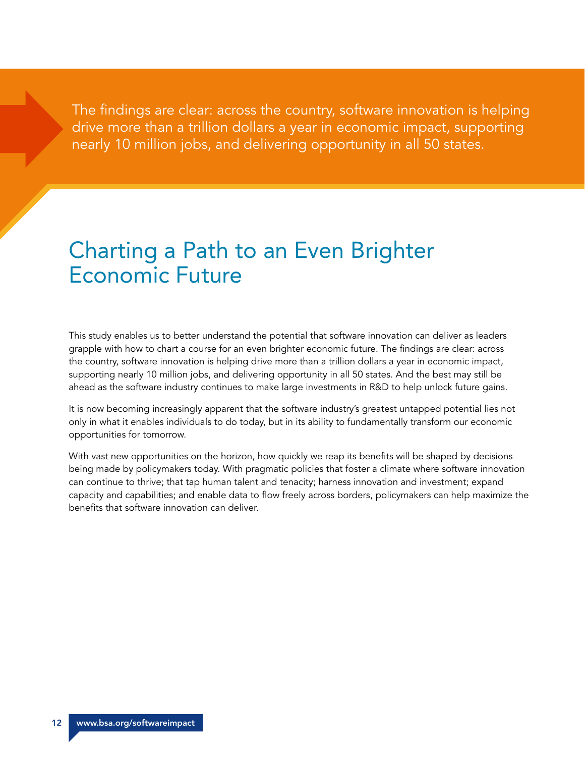<span id="page-13-0"></span>The findings are clear: across the country, software innovation is helping drive more than a trillion dollars a year in economic impact, supporting nearly 10 million jobs, and delivering opportunity in all 50 states.

### Charting a Path to an Even Brighter Economic Future

This study enables us to better understand the potential that software innovation can deliver as leaders grapple with how to chart a course for an even brighter economic future. The findings are clear: across the country, software innovation is helping drive more than a trillion dollars a year in economic impact, supporting nearly 10 million jobs, and delivering opportunity in all 50 states. And the best may still be ahead as the software industry continues to make large investments in R&D to help unlock future gains.

It is now becoming increasingly apparent that the software industry's greatest untapped potential lies not only in what it enables individuals to do today, but in its ability to fundamentally transform our economic opportunities for tomorrow.

With vast new opportunities on the horizon, how quickly we reap its benefits will be shaped by decisions being made by policymakers today. With pragmatic policies that foster a climate where software innovation can continue to thrive; that tap human talent and tenacity; harness innovation and investment; expand capacity and capabilities; and enable data to flow freely across borders, policymakers can help maximize the benefits that software innovation can deliver.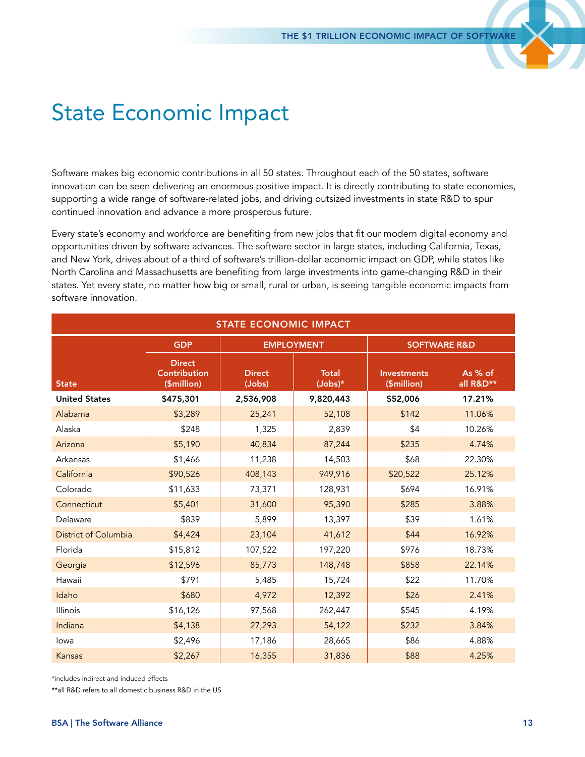### <span id="page-14-0"></span>State Economic Impact

Software makes big economic contributions in all 50 states. Throughout each of the 50 states, software innovation can be seen delivering an enormous positive impact. It is directly contributing to state economies, supporting a wide range of software-related jobs, and driving outsized investments in state R&D to spur continued innovation and advance a more prosperous future.

Every state's economy and workforce are benefiting from new jobs that fit our modern digital economy and opportunities driven by software advances. The software sector in large states, including California, Texas, and New York, drives about of a third of software's trillion-dollar economic impact on GDP, while states like North Carolina and Massachusetts are benefiting from large investments into game-changing R&D in their states. Yet every state, no matter how big or small, rural or urban, is seeing tangible economic impacts from software innovation.

| <b>STATE ECONOMIC IMPACT</b> |                                                     |                         |                           |                                   |                      |  |  |
|------------------------------|-----------------------------------------------------|-------------------------|---------------------------|-----------------------------------|----------------------|--|--|
|                              | <b>GDP</b>                                          | <b>EMPLOYMENT</b>       |                           | <b>SOFTWARE R&amp;D</b>           |                      |  |  |
| <b>State</b>                 | <b>Direct</b><br><b>Contribution</b><br>(\$million) | <b>Direct</b><br>(Jobs) | <b>Total</b><br>$(Jobs)*$ | <b>Investments</b><br>(\$million) | As % of<br>all R&D** |  |  |
| <b>United States</b>         | \$475,301                                           | 2,536,908               | 9,820,443                 | \$52,006                          | 17.21%               |  |  |
| Alabama                      | \$3,289                                             | 25,241                  | 52,108                    | \$142                             | 11.06%               |  |  |
| Alaska                       | \$248                                               | 1,325                   | 2,839                     | \$4                               | 10.26%               |  |  |
| Arizona                      | \$5,190                                             | 40,834                  | 87,244                    | \$235                             | 4.74%                |  |  |
| Arkansas                     | \$1,466                                             | 11,238                  | 14,503                    | \$68                              | 22.30%               |  |  |
| California                   | \$90,526                                            | 408,143                 | 949,916                   | \$20,522                          | 25.12%               |  |  |
| Colorado                     | \$11,633                                            | 73,371                  | 128,931                   | \$694                             | 16.91%               |  |  |
| Connecticut                  | \$5,401                                             | 31,600                  | 95,390                    | \$285                             | 3.88%                |  |  |
| Delaware                     | \$839                                               | 5,899                   | 13,397                    | \$39                              | 1.61%                |  |  |
| District of Columbia         | \$4,424                                             | 23,104                  | 41,612                    | \$44                              | 16.92%               |  |  |
| Florida                      | \$15,812                                            | 107,522                 | 197,220                   | \$976                             | 18.73%               |  |  |
| Georgia                      | \$12,596                                            | 85,773                  | 148,748                   | \$858                             | 22.14%               |  |  |
| Hawaii                       | \$791                                               | 5,485                   | 15,724                    | \$22                              | 11.70%               |  |  |
| Idaho                        | \$680                                               | 4,972                   | 12,392                    | \$26                              | 2.41%                |  |  |
| Illinois                     | \$16,126                                            | 97,568                  | 262,447                   | \$545                             | 4.19%                |  |  |
| Indiana                      | \$4,138                                             | 27,293                  | 54,122                    | \$232                             | 3.84%                |  |  |
| lowa                         | \$2,496                                             | 17,186                  | 28,665                    | \$86                              | 4.88%                |  |  |
| Kansas                       | \$2,267                                             | 16,355                  | 31,836                    | \$88                              | 4.25%                |  |  |

\*includes indirect and induced effects

\*\*all R&D refers to all domestic business R&D in the US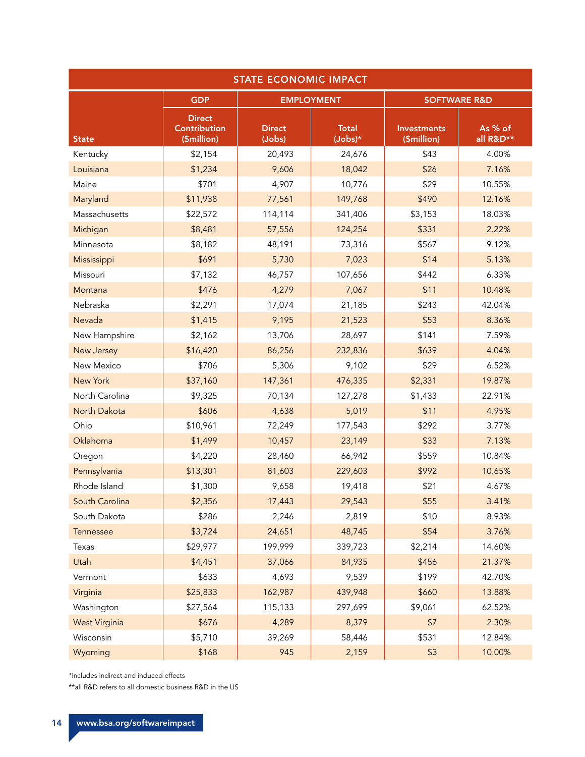| <b>STATE ECONOMIC IMPACT</b> |                                              |                         |                           |                                   |                      |  |  |
|------------------------------|----------------------------------------------|-------------------------|---------------------------|-----------------------------------|----------------------|--|--|
|                              | <b>GDP</b>                                   | <b>EMPLOYMENT</b>       |                           | <b>SOFTWARE R&amp;D</b>           |                      |  |  |
| <b>State</b>                 | <b>Direct</b><br>Contribution<br>(\$million) | <b>Direct</b><br>(Jobs) | <b>Total</b><br>$(Jobs)*$ | <b>Investments</b><br>(\$million) | As % of<br>all R&D** |  |  |
| Kentucky                     | \$2,154                                      | 20,493                  | 24,676                    | \$43                              | 4.00%                |  |  |
| Louisiana                    | \$1,234                                      | 9,606                   | 18,042                    | \$26                              | 7.16%                |  |  |
| Maine                        | \$701                                        | 4,907                   | 10,776                    | \$29                              | 10.55%               |  |  |
| Maryland                     | \$11,938                                     | 77,561                  | 149,768                   | \$490                             | 12.16%               |  |  |
| Massachusetts                | \$22,572                                     | 114,114                 | 341,406                   | \$3,153                           | 18.03%               |  |  |
| Michigan                     | \$8,481                                      | 57,556                  | 124,254                   | \$331                             | 2.22%                |  |  |
| Minnesota                    | \$8,182                                      | 48,191                  | 73,316                    | \$567                             | 9.12%                |  |  |
| Mississippi                  | \$691                                        | 5,730                   | 7,023                     | \$14                              | 5.13%                |  |  |
| Missouri                     | \$7,132                                      | 46,757                  | 107,656                   | \$442                             | 6.33%                |  |  |
| Montana                      | \$476                                        | 4,279                   | 7,067                     | \$11                              | 10.48%               |  |  |
| Nebraska                     | \$2,291                                      | 17,074                  | 21,185                    | \$243                             | 42.04%               |  |  |
| Nevada                       | \$1,415                                      | 9,195                   | 21,523                    | \$53                              | 8.36%                |  |  |
| New Hampshire                | \$2,162                                      | 13,706                  | 28,697                    | \$141                             | 7.59%                |  |  |
| New Jersey                   | \$16,420                                     | 86,256                  | 232,836                   | \$639                             | 4.04%                |  |  |
| New Mexico                   | \$706                                        | 5,306                   | 9,102                     | \$29                              | 6.52%                |  |  |
| New York                     | \$37,160                                     | 147,361                 | 476,335                   | \$2,331                           | 19.87%               |  |  |
| North Carolina               | \$9,325                                      | 70,134                  | 127,278                   | \$1,433                           | 22.91%               |  |  |
| North Dakota                 | \$606                                        | 4,638                   | 5,019                     | \$11                              | 4.95%                |  |  |
| Ohio                         | \$10,961                                     | 72,249                  | 177,543                   | \$292                             | 3.77%                |  |  |
| Oklahoma                     | \$1,499                                      | 10,457                  | 23,149                    | \$33                              | 7.13%                |  |  |
| Oregon                       | \$4,220                                      | 28,460                  | 66,942                    | \$559                             | 10.84%               |  |  |
| Pennsylvania                 | \$13,301                                     | 81,603                  | 229,603                   | \$992                             | 10.65%               |  |  |
| Rhode Island                 | \$1,300                                      | 9,658                   | 19,418                    | \$21                              | 4.67%                |  |  |
| South Carolina               | \$2,356                                      | 17,443                  | 29,543                    | \$55                              | 3.41%                |  |  |
| South Dakota                 | \$286                                        | 2,246                   | 2,819                     | \$10                              | 8.93%                |  |  |
| Tennessee                    | \$3,724                                      | 24,651                  | 48,745                    | \$54                              | 3.76%                |  |  |
| Texas                        | \$29,977                                     | 199,999                 | 339,723                   | \$2,214                           | 14.60%               |  |  |
| Utah                         | \$4,451                                      | 37,066                  | 84,935                    | \$456                             | 21.37%               |  |  |
| Vermont                      | \$633                                        | 4,693                   | 9,539                     | \$199                             | 42.70%               |  |  |
| Virginia                     | \$25,833                                     | 162,987                 | 439,948                   | \$660                             | 13.88%               |  |  |
| Washington                   | \$27,564                                     | 115,133                 | 297,699                   | \$9,061                           | 62.52%               |  |  |
| <b>West Virginia</b>         | \$676                                        | 4,289                   | 8,379                     | \$7                               | 2.30%                |  |  |
| Wisconsin                    | \$5,710                                      | 39,269                  | 58,446                    | \$531                             | 12.84%               |  |  |
| Wyoming                      | \$168                                        | 945                     | 2,159                     | \$3                               | 10.00%               |  |  |

\*includes indirect and induced effects

\*\*all R&D refers to all domestic business R&D in the US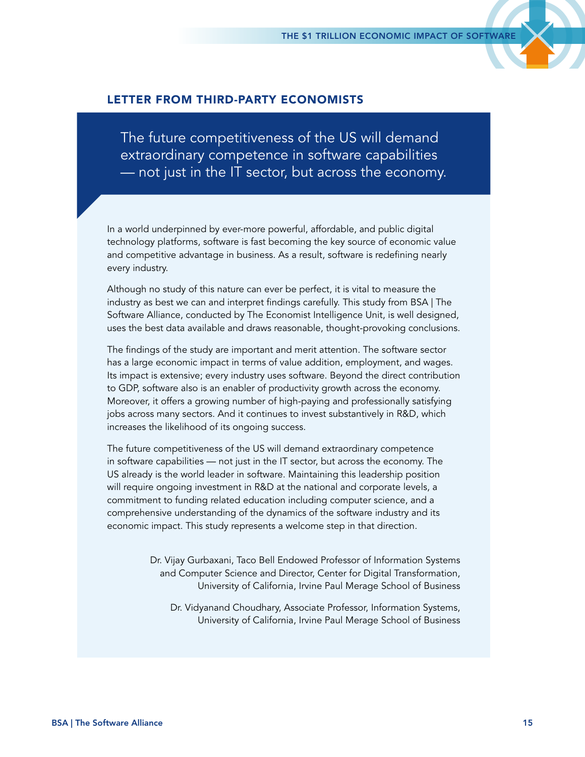#### <span id="page-16-0"></span>LETTER FROM THIRD-PARTY ECONOMISTS

The future competitiveness of the US will demand extraordinary competence in software capabilities — not just in the IT sector, but across the economy.

In a world underpinned by ever-more powerful, affordable, and public digital technology platforms, software is fast becoming the key source of economic value and competitive advantage in business. As a result, software is redefining nearly every industry.

Although no study of this nature can ever be perfect, it is vital to measure the industry as best we can and interpret findings carefully. This study from BSA | The Software Alliance, conducted by The Economist Intelligence Unit, is well designed, uses the best data available and draws reasonable, thought-provoking conclusions.

The findings of the study are important and merit attention. The software sector has a large economic impact in terms of value addition, employment, and wages. Its impact is extensive; every industry uses software. Beyond the direct contribution to GDP, software also is an enabler of productivity growth across the economy. Moreover, it offers a growing number of high-paying and professionally satisfying jobs across many sectors. And it continues to invest substantively in R&D, which increases the likelihood of its ongoing success.

The future competitiveness of the US will demand extraordinary competence in software capabilities — not just in the IT sector, but across the economy. The US already is the world leader in software. Maintaining this leadership position will require ongoing investment in R&D at the national and corporate levels, a commitment to funding related education including computer science, and a comprehensive understanding of the dynamics of the software industry and its economic impact. This study represents a welcome step in that direction.

> Dr. Vijay Gurbaxani, Taco Bell Endowed Professor of Information Systems and Computer Science and Director, Center for Digital Transformation, University of California, Irvine Paul Merage School of Business

Dr. Vidyanand Choudhary, Associate Professor, Information Systems, University of California, Irvine Paul Merage School of Business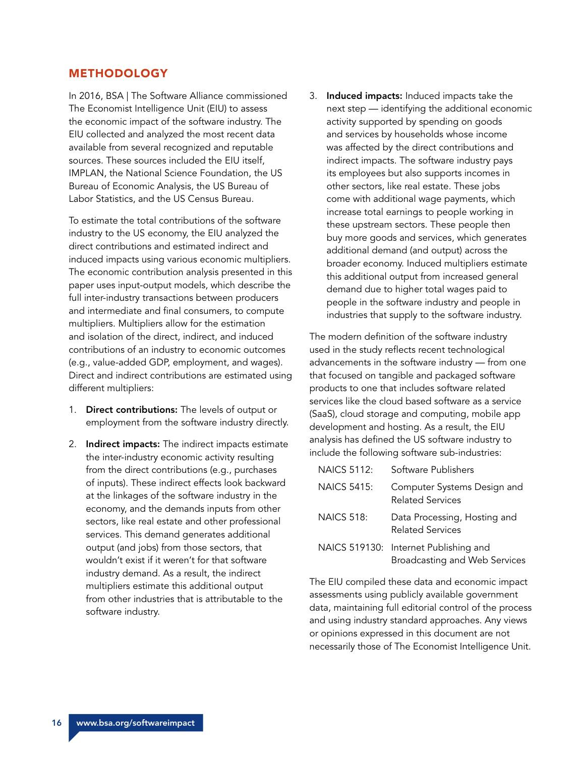#### <span id="page-17-0"></span>METHODOLOGY

In 2016, BSA | The Software Alliance commissioned The Economist Intelligence Unit (EIU) to assess the economic impact of the software industry. The EIU collected and analyzed the most recent data available from several recognized and reputable sources. These sources included the EIU itself, IMPLAN, the National Science Foundation, the US Bureau of Economic Analysis, the US Bureau of Labor Statistics, and the US Census Bureau.

To estimate the total contributions of the software industry to the US economy, the EIU analyzed the direct contributions and estimated indirect and induced impacts using various economic multipliers. The economic contribution analysis presented in this paper uses input-output models, which describe the full inter-industry transactions between producers and intermediate and final consumers, to compute multipliers. Multipliers allow for the estimation and isolation of the direct, indirect, and induced contributions of an industry to economic outcomes (e.g., value-added GDP, employment, and wages). Direct and indirect contributions are estimated using different multipliers:

- 1. Direct contributions: The levels of output or employment from the software industry directly.
- 2. Indirect impacts: The indirect impacts estimate the inter-industry economic activity resulting from the direct contributions (e.g., purchases of inputs). These indirect effects look backward at the linkages of the software industry in the economy, and the demands inputs from other sectors, like real estate and other professional services. This demand generates additional output (and jobs) from those sectors, that wouldn't exist if it weren't for that software industry demand. As a result, the indirect multipliers estimate this additional output from other industries that is attributable to the software industry.

3. Induced impacts: Induced impacts take the next step — identifying the additional economic activity supported by spending on goods and services by households whose income was affected by the direct contributions and indirect impacts. The software industry pays its employees but also supports incomes in other sectors, like real estate. These jobs come with additional wage payments, which increase total earnings to people working in these upstream sectors. These people then buy more goods and services, which generates additional demand (and output) across the broader economy. Induced multipliers estimate this additional output from increased general demand due to higher total wages paid to people in the software industry and people in industries that supply to the software industry.

The modern definition of the software industry used in the study reflects recent technological advancements in the software industry — from one that focused on tangible and packaged software products to one that includes software related services like the cloud based software as a service (SaaS), cloud storage and computing, mobile app development and hosting. As a result, the EIU analysis has defined the US software industry to include the following software sub-industries:

| <b>NAICS 5112:</b> | Software Publishers                                                    |
|--------------------|------------------------------------------------------------------------|
| <b>NAICS 5415:</b> | Computer Systems Design and<br><b>Related Services</b>                 |
| <b>NAICS 518:</b>  | Data Processing, Hosting and<br><b>Related Services</b>                |
|                    | NAICS 519130: Internet Publishing and<br>Broadcasting and Web Services |

The EIU compiled these data and economic impact assessments using publicly available government data, maintaining full editorial control of the process and using industry standard approaches. Any views or opinions expressed in this document are not necessarily those of The Economist Intelligence Unit.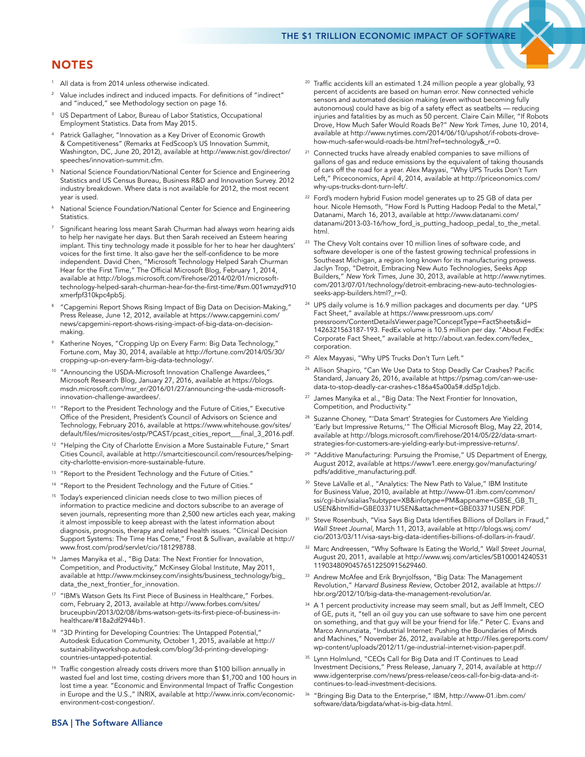#### **NOTES**

- All data is from 2014 unless otherwise indicated.
- Value includes indirect and induced impacts. For definitions of "indirect" and "induced," see Methodology section on page 16.
- US Department of Labor, Bureau of Labor Statistics, Occupational Employment Statistics. Data from May 2015.
- Patrick Gallagher, "Innovation as a Key Driver of Economic Growth & Competitiveness" (Remarks at FedScoop's US Innovation Summit, Washington, DC, June 20, 2012), available at [http://www.nist.gov/director/](http://www.nist.gov/director/speeches/innovation-summit.cfm) [speeches/innovation-summit.cfm.](http://www.nist.gov/director/speeches/innovation-summit.cfm)
- <sup>5</sup> National Science Foundation/National Center for Science and Engineering Statistics and US Census Bureau, Business R&D and Innovation Survey. 2012 industry breakdown. Where data is not available for 2012, the most recent year is used.
- National Science Foundation/National Center for Science and Engineering Statistics.
- Significant hearing loss meant Sarah Churman had always worn hearing aids to help her navigate her days. But then Sarah received an Esteem hearing implant. This tiny technology made it possible for her to hear her daughters' voices for the first time. It also gave her the self-confidence to be more independent. David Chen, "Microsoft Technology Helped Sarah Churman Hear for the First Time," The Official Microsoft Blog, February 1, 2014, available at [http://blogs.microsoft.com/firehose/2014/02/01/microsoft](http://blogs.microsoft.com/firehose/2014/02/01/microsoft-technology-helped-sarah-churman-hear-for-the-first-time/#sm.001wmzyd910xmerfpf310kpc4pb5j)[technology-helped-sarah-churman-hear-for-the-first-time/#sm.001wmzyd910](http://blogs.microsoft.com/firehose/2014/02/01/microsoft-technology-helped-sarah-churman-hear-for-the-first-time/#sm.001wmzyd910xmerfpf310kpc4pb5j) [xmerfpf310kpc4pb5j](http://blogs.microsoft.com/firehose/2014/02/01/microsoft-technology-helped-sarah-churman-hear-for-the-first-time/#sm.001wmzyd910xmerfpf310kpc4pb5j).
- "Capgemini Report Shows Rising Impact of Big Data on Decision-Making," Press Release, June 12, 2012, available at [https://www.capgemini.com/](https://www.capgemini.com/news/capgemini-report-shows-rising-impact-of-big-data-on-decision-making) [news/capgemini-report-shows-rising-impact-of-big-data-on-decision](https://www.capgemini.com/news/capgemini-report-shows-rising-impact-of-big-data-on-decision-making)[making.](https://www.capgemini.com/news/capgemini-report-shows-rising-impact-of-big-data-on-decision-making)
- Katherine Noyes, "Cropping Up on Every Farm: Big Data Technology, Fortune.com, May 30, 2014, available at [http://fortune.com/2014/05/30/](http://fortune.com/2014/05/30/cropping-up-on-every-farm-big-data-technology/) [cropping-up-on-every-farm-big-data-technology/.](http://fortune.com/2014/05/30/cropping-up-on-every-farm-big-data-technology/)
- <sup>10</sup> "Announcing the USDA-Microsoft Innovation Challenge Awardees," Microsoft Research Blog, January 27, 2016, available at [https://blogs.](https://blogs.msdn.microsoft.com/msr_er/2016/01/27/announcing-the-usda-microsoft-innovation-challenge-awardees/) [msdn.microsoft.com/msr\\_er/2016/01/27/announcing-the-usda-microsoft](https://blogs.msdn.microsoft.com/msr_er/2016/01/27/announcing-the-usda-microsoft-innovation-challenge-awardees/)[innovation-challenge-awardees/](https://blogs.msdn.microsoft.com/msr_er/2016/01/27/announcing-the-usda-microsoft-innovation-challenge-awardees/).
- <sup>11</sup> "Report to the President Technology and the Future of Cities," Executive Office of the President, President's Council of Advisors on Science and Technology, February 2016, available at [https://www.whitehouse.gov/sites/](https://www.whitehouse.gov/sites/default/files/microsites/ostp/PCAST/pcast_cities_report___final_3_2016.pdf) [default/files/microsites/ostp/PCAST/pcast\\_cities\\_report\\_\\_\\_final\\_3\\_2016.pdf](https://www.whitehouse.gov/sites/default/files/microsites/ostp/PCAST/pcast_cities_report___final_3_2016.pdf).
- <sup>12</sup> "Helping the City of Charlotte Envision a More Sustainable Future," Smart Cities Council, available at [http://smartcitiescouncil.com/resources/helping](http://smartcitiescouncil.com/resources/helping-city-charlotte-envision-more-sustainable-future)[city-charlotte-envision-more-sustainable-future](http://smartcitiescouncil.com/resources/helping-city-charlotte-envision-more-sustainable-future).
- <sup>13</sup> "Report to the President Technology and the Future of Cities."
- <sup>14</sup> "Report to the President Technology and the Future of Cities."
- <sup>15</sup> Today's experienced clinician needs close to two million pieces of information to practice medicine and doctors subscribe to an average of seven journals, representing more than 2,500 new articles each year, making it almost impossible to keep abreast with the latest information about diagnosis, prognosis, therapy and related health issues. "Clinical Decision Support Systems: The Time Has Come," Frost & Sullivan, available at [http://](http://www.frost.com/prod/servlet/cio/181298788) [www.frost.com/prod/servlet/cio/181298788.](http://www.frost.com/prod/servlet/cio/181298788)
- <sup>16</sup> James Manyika et al., "Big Data: The Next Frontier for Innovation, Competition, and Productivity," McKinsey Global Institute, May 2011, available at [http://www.mckinsey.com/insights/business\\_technology/big\\_](http://www.mckinsey.com/insights/business_technology/big_data_the_next_frontier_for_innovation) [data\\_the\\_next\\_frontier\\_for\\_innovation.](http://www.mckinsey.com/insights/business_technology/big_data_the_next_frontier_for_innovation)
- <sup>17</sup> "IBM's Watson Gets Its First Piece of Business in Healthcare," Forbes. com, February 2, 2013, available at [http://www.forbes.com/sites/](http://www.forbes.com/sites/bruceupbin/2013/02/08/ibms-watson-gets-its-first-piece-of-business-in-healthcare/#18a2df2944b1) [bruceupbin/2013/02/08/ibms-watson-gets-its-first-piece-of-business-in](http://www.forbes.com/sites/bruceupbin/2013/02/08/ibms-watson-gets-its-first-piece-of-business-in-healthcare/#18a2df2944b1)[healthcare/#18a2df2944b1](http://www.forbes.com/sites/bruceupbin/2013/02/08/ibms-watson-gets-its-first-piece-of-business-in-healthcare/#18a2df2944b1).
- <sup>18</sup> "3D Printing for Developing Countries: The Untapped Potential," Autodesk Education Community, October 1, 2015, available at [http://](http://sustainabilityworkshop.autodesk.com/blog/3d-printing-developing-countries-untapped-potential) [sustainabilityworkshop.autodesk.com/blog/3d-printing-developing](http://sustainabilityworkshop.autodesk.com/blog/3d-printing-developing-countries-untapped-potential)[countries-untapped-potential.](http://sustainabilityworkshop.autodesk.com/blog/3d-printing-developing-countries-untapped-potential)
- <sup>19</sup> Traffic congestion already costs drivers more than \$100 billion annually in wasted fuel and lost time, costing drivers more than \$1,700 and 100 hours in lost time a year. "Economic and Environmental Impact of Traffic Congestion in Europe and the U.S.," INRIX, available at [http://www.inrix.com/economic](http://www.inrix.com/economic-environment-cost-congestion/)[environment-cost-congestion/](http://www.inrix.com/economic-environment-cost-congestion/).
- <sup>20</sup> Traffic accidents kill an estimated 1.24 million people a year globally, 93 percent of accidents are based on human error. New connected vehicle sensors and automated decision making (even without becoming fully autonomous) could have as big of a safety effect as seatbelts — reducing injuries and fatalities by as much as 50 percent. Claire Cain Miller, "If Robots Drove, How Much Safer Would Roads Be?" *New York Times*, June 10, 2014, available at [http://www.nytimes.com/2014/06/10/upshot/if-robots-drove](http://www.nytimes.com/2014/06/10/upshot/if-robots-drove-how-much-safer-would-roads-be.html?ref=technology&_r=0)[how-much-safer-would-roads-be.html?ref=technology&\\_r=0](http://www.nytimes.com/2014/06/10/upshot/if-robots-drove-how-much-safer-would-roads-be.html?ref=technology&_r=0).
- <sup>21</sup> Connected trucks have already enabled companies to save millions of gallons of gas and reduce emissions by the equivalent of taking thousands of cars off the road for a year. Alex Mayyasi, "Why UPS Trucks Don't Turn Left," Priceconomics, April 4, 2014, available at [http://priceonomics.com/](http://priceonomics.com/why-ups-trucks-dont-turn-left/) [why-ups-trucks-dont-turn-left/.](http://priceonomics.com/why-ups-trucks-dont-turn-left/)
- <sup>22</sup> Ford's modern hybrid Fusion model generates up to 25 GB of data per hour. Nicole Hemsoth, "How Ford Is Putting Hadoop Pedal to the Metal," Datanami, March 16, 2013, available at [http://www.datanami.com/](http://www.datanami.com/datanami/2013-03-16/how_ford_is_putting_hadoop_pedal_to_the_metal.html) [datanami/2013-03-16/how\\_ford\\_is\\_putting\\_hadoop\\_pedal\\_to\\_the\\_metal.](http://www.datanami.com/datanami/2013-03-16/how_ford_is_putting_hadoop_pedal_to_the_metal.html) [html.](http://www.datanami.com/datanami/2013-03-16/how_ford_is_putting_hadoop_pedal_to_the_metal.html)
- <sup>23</sup> The Chevy Volt contains over 10 million lines of software code, and software developer is one of the fastest growing technical professions in Southeast Michigan, a region long known for its manufacturing prowess. Jaclyn Trop, "Detroit, Embracing New Auto Technologies, Seeks App Builders," *New York Times*, June 30, 2013, available at [http://www.nytimes.](http://www.nytimes.com/2013/07/01/technology/detroit-embracing-new-auto-technologies-seeks-app-builders.html?_r=0) [com/2013/07/01/technology/detroit-embracing-new-auto-technologies](http://www.nytimes.com/2013/07/01/technology/detroit-embracing-new-auto-technologies-seeks-app-builders.html?_r=0)[seeks-app-builders.html?\\_r=0](http://www.nytimes.com/2013/07/01/technology/detroit-embracing-new-auto-technologies-seeks-app-builders.html?_r=0).
- <sup>24</sup> UPS daily volume is 16.9 million packages and documents per day. "UPS Fact Sheet," available at [https://www.pressroom.ups.com/](https://www.pressroom.ups.com/pressroom/ContentDetailsViewer.page?ConceptType=FactSheets&id=1426321563187-193) [pressroom/ContentDetailsViewer.page?ConceptType=FactSheets&id=](https://www.pressroom.ups.com/pressroom/ContentDetailsViewer.page?ConceptType=FactSheets&id=1426321563187-193) [1426321563187-193](https://www.pressroom.ups.com/pressroom/ContentDetailsViewer.page?ConceptType=FactSheets&id=1426321563187-193). FedEx volume is 10.5 million per day. "About FedEx: Corporate Fact Sheet," available at [http://about.van.fedex.com/fedex\\_](http://about.van.fedex.com/fedex_corporation) [corporation](http://about.van.fedex.com/fedex_corporation).
- <sup>25</sup> Alex Mayyasi, "Why UPS Trucks Don't Turn Left."
- <sup>26</sup> Allison Shapiro, "Can We Use Data to Stop Deadly Car Crashes? Pacific Standard, January 26, 2016, available at [https://psmag.com/can-we-use](https://psmag.com/can-we-use-data-to-stop-deadly-car-crashes-c186a45a00a5#.dd5p1djcb)[data-to-stop-deadly-car-crashes-c186a45a00a5#.dd5p1djcb.](https://psmag.com/can-we-use-data-to-stop-deadly-car-crashes-c186a45a00a5#.dd5p1djcb)
- <sup>27</sup> James Manyika et al., "Big Data: The Next Frontier for Innovation, Competition, and Productivity."
- <sup>28</sup> Suzanne Choney, "'Data Smart' Strategies for Customers Are Yielding 'Early but Impressive Returns,'" The Official Microsoft Blog, May 22, 2014, available at [http://blogs.microsoft.com/firehose/2014/05/22/data-smart](http://blogs.microsoft.com/firehose/2014/05/22/data-smart-strategies-for-customers-are-yielding-early-but-impressive-returns/)[strategies-for-customers-are-yielding-early-but-impressive-returns/.](http://blogs.microsoft.com/firehose/2014/05/22/data-smart-strategies-for-customers-are-yielding-early-but-impressive-returns/)
- "Additive Manufacturing: Pursuing the Promise," US Department of Energy, August 2012, available at [https://www1.eere.energy.gov/manufacturing/](https://www1.eere.energy.gov/manufacturing/pdfs/additive_manufacturing.pdf) [pdfs/additive\\_manufacturing.pdf](https://www1.eere.energy.gov/manufacturing/pdfs/additive_manufacturing.pdf).
- <sup>30</sup> Steve LaValle et al., "Analytics: The New Path to Value," IBM Institute for Business Value, 2010, available at [http://www-01.ibm.com/common/](http://www-01.ibm.com/common/ssi/cgi-bin/ssialias?subtype=XB&infotype=PM&appname=GBSE_GB_TI_USEN&htmlfid=GBE03371USEN&attachment=GBE03371USEN.PDF) [ssi/cgi-bin/ssialias?subtype=XB&infotype=PM&appname=GBSE\\_GB\\_TI\\_](http://www-01.ibm.com/common/ssi/cgi-bin/ssialias?subtype=XB&infotype=PM&appname=GBSE_GB_TI_USEN&htmlfid=GBE03371USEN&attachment=GBE03371USEN.PDF) [USEN&htmlfid=GBE03371USEN&attachment=GBE03371USEN.PDF](http://www-01.ibm.com/common/ssi/cgi-bin/ssialias?subtype=XB&infotype=PM&appname=GBSE_GB_TI_USEN&htmlfid=GBE03371USEN&attachment=GBE03371USEN.PDF).
- <sup>31</sup> Steve Rosenbush, "Visa Says Big Data Identifies Billions of Dollars in Fraud," *Wall Street Journal*, March 11, 2013, available at [http://blogs.wsj.com/](http://blogs.wsj.com/cio/2013/03/11/visa-says-big-data-identifies-billions-of-dollars-in-fraud/) [cio/2013/03/11/visa-says-big-data-identifies-billions-of-dollars-in-fraud/.](http://blogs.wsj.com/cio/2013/03/11/visa-says-big-data-identifies-billions-of-dollars-in-fraud/)
- <sup>32</sup> Marc Andreessen, "Why Software Is Eating the World," *Wall Street Journal*, August 20, 2011, available at [http://www.wsj.com/articles/SB100014240531](http://www.wsj.com/articles/SB10001424053111903480904576512250915629460) [11903480904576512250915629460](http://www.wsj.com/articles/SB10001424053111903480904576512250915629460).
- 33 Andrew McAfee and Erik Brynjolfsson, "Big Data: The Management Revolution," *Harvard Business Review*, October 2012, available at [https://](https://hbr.org/2012/10/big-data-the-management-revolution/ar) [hbr.org/2012/10/big-data-the-management-revolution/ar](https://hbr.org/2012/10/big-data-the-management-revolution/ar).
- <sup>34</sup> A 1 percent productivity increase may seem small, but as Jeff Immelt, CEO of GE, puts it, "tell an oil guy you can use software to save him one percent on something, and that guy will be your friend for life." Peter C. Evans and Marco Annunziata, "Industrial Internet: Pushing the Boundaries of Minds and Machines," November 26, 2012, available at [http://files.gereports.com/](http://files.gereports.com/wp-content/uploads/2012/11/ge-industrial-internet-vision-paper.pdf) [wp-content/uploads/2012/11/ge-industrial-internet-vision-paper.pdf](http://files.gereports.com/wp-content/uploads/2012/11/ge-industrial-internet-vision-paper.pdf).
- 35 Lynn Holmlund, "CEOs Call for Big Data and IT Continues to Lead Investment Decisions," Press Release, January 7, 2014, available at [http://](http://www.idgenterprise.com/news/press-release/ceos-call-for-big-data-and-it-continues-to-lead-investment-decisions) [www.idgenterprise.com/news/press-release/ceos-call-for-big-data-and-it](http://www.idgenterprise.com/news/press-release/ceos-call-for-big-data-and-it-continues-to-lead-investment-decisions)[continues-to-lead-investment-decisions](http://www.idgenterprise.com/news/press-release/ceos-call-for-big-data-and-it-continues-to-lead-investment-decisions).
- <sup>36</sup> "Bringing Big Data to the Enterprise," IBM, [http://www-01.ibm.com/](http://www-01.ibm.com/software/data/bigdata/what-is-big-data.html) [software/data/bigdata/what-is-big-data.html.](http://www-01.ibm.com/software/data/bigdata/what-is-big-data.html)

#### BSA | The Software Alliance